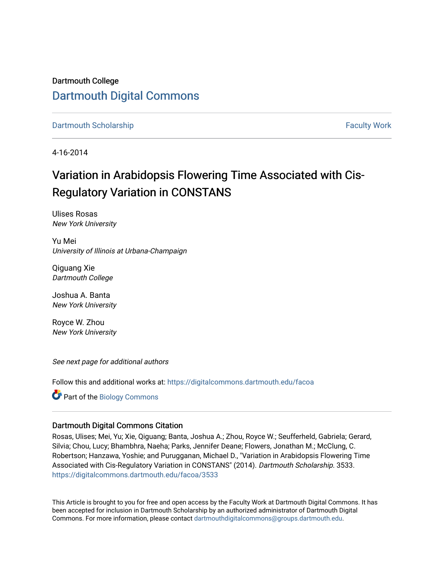Dartmouth College [Dartmouth Digital Commons](https://digitalcommons.dartmouth.edu/) 

[Dartmouth Scholarship](https://digitalcommons.dartmouth.edu/facoa) [Faculty Work](https://digitalcommons.dartmouth.edu/faculty) and The Basic Scholarship Faculty Work Faculty Work

4-16-2014

## Variation in Arabidopsis Flowering Time Associated with Cis-Regulatory Variation in CONSTANS

Ulises Rosas New York University

Yu Mei University of Illinois at Urbana-Champaign

Qiguang Xie Dartmouth College

Joshua A. Banta New York University

Royce W. Zhou New York University

See next page for additional authors

Follow this and additional works at: [https://digitalcommons.dartmouth.edu/facoa](https://digitalcommons.dartmouth.edu/facoa?utm_source=digitalcommons.dartmouth.edu%2Ffacoa%2F3533&utm_medium=PDF&utm_campaign=PDFCoverPages)

Part of the [Biology Commons](http://network.bepress.com/hgg/discipline/41?utm_source=digitalcommons.dartmouth.edu%2Ffacoa%2F3533&utm_medium=PDF&utm_campaign=PDFCoverPages) 

#### Dartmouth Digital Commons Citation

Rosas, Ulises; Mei, Yu; Xie, Qiguang; Banta, Joshua A.; Zhou, Royce W.; Seufferheld, Gabriela; Gerard, Silvia; Chou, Lucy; Bhambhra, Naeha; Parks, Jennifer Deane; Flowers, Jonathan M.; McClung, C. Robertson; Hanzawa, Yoshie; and Purugganan, Michael D., "Variation in Arabidopsis Flowering Time Associated with Cis-Regulatory Variation in CONSTANS" (2014). Dartmouth Scholarship. 3533. [https://digitalcommons.dartmouth.edu/facoa/3533](https://digitalcommons.dartmouth.edu/facoa/3533?utm_source=digitalcommons.dartmouth.edu%2Ffacoa%2F3533&utm_medium=PDF&utm_campaign=PDFCoverPages) 

This Article is brought to you for free and open access by the Faculty Work at Dartmouth Digital Commons. It has been accepted for inclusion in Dartmouth Scholarship by an authorized administrator of Dartmouth Digital Commons. For more information, please contact [dartmouthdigitalcommons@groups.dartmouth.edu](mailto:dartmouthdigitalcommons@groups.dartmouth.edu).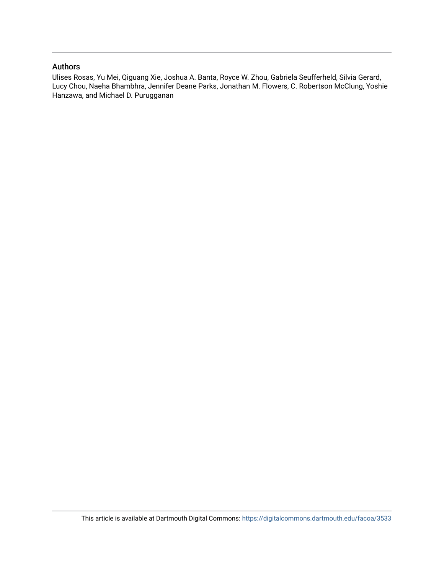### Authors

Ulises Rosas, Yu Mei, Qiguang Xie, Joshua A. Banta, Royce W. Zhou, Gabriela Seufferheld, Silvia Gerard, Lucy Chou, Naeha Bhambhra, Jennifer Deane Parks, Jonathan M. Flowers, C. Robertson McClung, Yoshie Hanzawa, and Michael D. Purugganan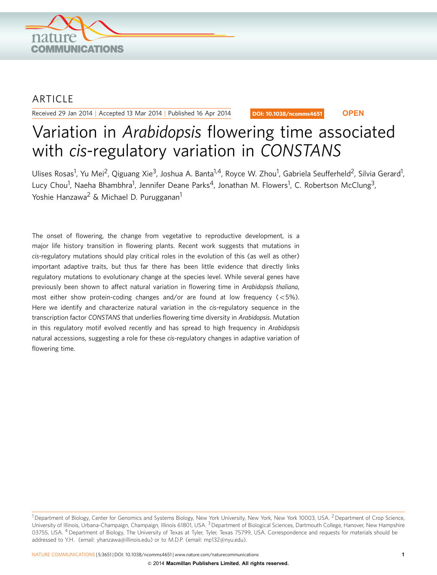

## ARTICLE

Received 29 Jan 2014 | Accepted 13 Mar 2014 | Published 16 Apr 2014

DOI: 10.1038/ncomms4651 **OPEN**

# Variation in Arabidopsis flowering time associated with cis-regulatory variation in CONSTANS

Ulises Rosas<sup>1</sup>, Yu Mei<sup>2</sup>, Qiguang Xie<sup>3</sup>, Joshua A. Banta<sup>1,4</sup>, Royce W. Zhou<sup>1</sup>, Gabriela Seufferheld<sup>2</sup>, Silvia Gerard<sup>1</sup>, Lucy Chou<sup>1</sup>, Naeha Bhambhra<sup>1</sup>, Jennifer Deane Parks<sup>4</sup>, Jonathan M. Flowers<sup>1</sup>, C. Robertson McClung<sup>3</sup>, Yoshie Hanzawa<sup>2</sup> & Michael D. Purugganan<sup>1</sup>

The onset of flowering, the change from vegetative to reproductive development, is a major life history transition in flowering plants. Recent work suggests that mutations in cis-regulatory mutations should play critical roles in the evolution of this (as well as other) important adaptive traits, but thus far there has been little evidence that directly links regulatory mutations to evolutionary change at the species level. While several genes have previously been shown to affect natural variation in flowering time in Arabidopsis thaliana, most either show protein-coding changes and/or are found at low frequency  $(<5\%)$ . Here we identify and characterize natural variation in the cis-regulatory sequence in the transcription factor CONSTANS that underlies flowering time diversity in Arabidopsis. Mutation in this regulatory motif evolved recently and has spread to high frequency in Arabidopsis natural accessions, suggesting a role for these cis-regulatory changes in adaptive variation of flowering time.

<sup>&</sup>lt;sup>1</sup> Department of Biology, Center for Genomics and Systems Biology, New York University, New York, New York 10003, USA. <sup>2</sup> Department of Crop Science, University of Illinois, Urbana-Champaign, Champaign, Illinois 61801, USA. <sup>3</sup> Department of Biological Sciences, Dartmouth College, Hanover, New Hampshire 03755, USA. <sup>4</sup> Department of Biology, The University of Texas at Tyler, Tyler, Texas 75799, USA. Correspondence and requests for materials should be addressed to Y.H. (email: [yhanzawa@illinois.edu\)](mailto:yhanzawa@illinois.edu) or to M.D.P. (email: [mp132@nyu.edu\)](mailto:mp132@nyu.edu).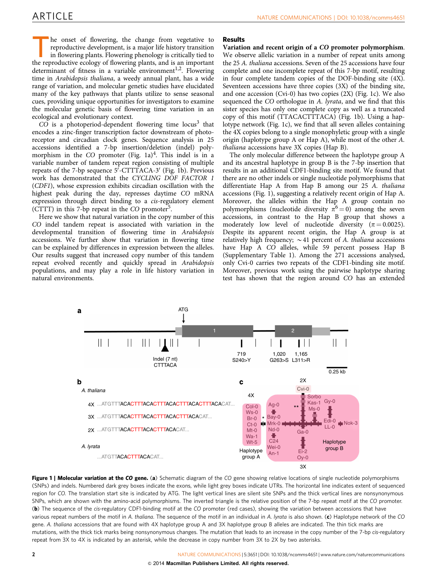he onset of flowering, the change from vegetative to reproductive development, is a major life history transition in flowering plants. Flowering phenology is critically tied to the reproductive ecology of flowering plants, and is an important determinant of fitness in a variable environment<sup>[1,2](#page-8-0)</sup>. Flowering time in Arabidopsis thaliana, a weedy annual plant, has a wide range of variation, and molecular genetic studies have elucidated many of the key pathways that plants utilize to sense seasonal cues, providing unique opportunities for investigators to examine the molecular genetic basis of flowering time variation in an ecological and evolutionary context.

 $CO$  is a photoperiod-dependent flowering time locus<sup>3</sup> that encodes a zinc-finger transcription factor downstream of photoreceptor and circadian clock genes. Sequence analysis in 25 accessions identified a 7-bp insertion/deletion (indel) polymorphism in the  $CO$  promoter (Fig. 1a)<sup>[4](#page-8-0)</sup>. This indel is in a variable number of tandem repeat region consisting of multiple repeats of the 7-bp sequence 5'-CTTTACA-3' (Fig. 1b). Previous work has demonstrated that the CYCLING DOF FACTOR 1 (CDF1), whose expression exhibits circadian oscillation with the highest peak during the day, represses daytime CO mRNA expression through direct binding to a cis-regulatory element (CTTT) in this 7-bp repeat in the  $CO$  promoter<sup>[5](#page-8-0)</sup>.

Here we show that natural variation in the copy number of this CO indel tandem repeat is associated with variation in the developmental transition of flowering time in Arabidopsis accessions. We further show that variation in flowering time can be explained by differences in expression between the alleles. Our results suggest that increased copy number of this tandem repeat evolved recently and quickly spread in Arabidopsis populations, and may play a role in life history variation in natural environments.

#### Results

Variation and recent origin of a CO promoter polymorphism. We observe allelic variation in a number of repeat units among the 25 A. thaliana accessions. Seven of the 25 accessions have four complete and one incomplete repeat of this 7-bp motif, resulting in four complete tandem copies of the DOF-binding site (4X). Seventeen accessions have three copies (3X) of the binding site, and one accession (Cvi-0) has two copies (2X) (Fig. 1c). We also sequenced the CO orthologue in A. lyrata, and we find that this sister species has only one complete copy as well as a truncated copy of this motif (TTACACTTTACA) (Fig. 1b). Using a haplotype network (Fig. 1c), we find that all seven alleles containing the 4X copies belong to a single monophyletic group with a single origin (haplotype group A or Hap A), while most of the other A. thaliana accessions have 3X copies (Hap B).

The only molecular difference between the haplotype group A and its ancestral haplotype in group B is the 7-bp insertion that results in an additional CDF1-binding site motif. We found that there are no other indels or single nucleotide polymorphisms that differentiate Hap A from Hap B among our 25 A. thaliana accessions (Fig. 1), suggesting a relatively recent origin of Hap A. Moreover, the alleles within the Hap A group contain no polymorphisms (nucleotide diversity  $\pi^6 = 0$  $\pi^6 = 0$  $\pi^6 = 0$ ) among the seven accessions, in contrast to the Hap B group that shows a moderately low level of nucleotide diversity ( $\pi = 0.0025$ ). Despite its apparent recent origin, the Hap A group is at relatively high frequency;  $\sim$  41 percent of A. thaliana accessions have Hap A CO alleles, while 59 percent possess Hap B (Supplementary Table 1). Among the 271 accessions analysed, only Cvi-0 carries two repeats of the CDF1-binding site motif. Moreover, previous work using the pairwise haplotype sharing test has shown that the region around CO has an extended



Figure 1 | Molecular variation at the CO gene. (a) Schematic diagram of the CO gene showing relative locations of single nucleotide polymorphisms (SNPs) and indels. Numbered dark grey boxes indicate the exons, while light grey boxes indicate UTRs. The horizontal line indicates extent of sequenced region for CO. The translation start site is indicated by ATG. The light vertical lines are silent site SNPs and the thick vertical lines are nonsynonymous SNPs, which are shown with the amino-acid polymorphisms. The inverted triangle is the relative position of the 7-bp repeat motif at the CO promoter. (b) The sequence of the cis-regulatory CDF1-binding motif at the CO promoter (red cases), showing the variation between accessions that have various repeat numbers of the motif in A. thaliana. The sequence of the motif in an individual in A. lyrata is also shown.  $(c)$  Haplotype network of the CO gene. A. thaliana accessions that are found with 4X haplotype group A and 3X haplotype group B alleles are indicated. The thin tick marks are mutations, with the thick tick marks being nonsynonymous changes. The mutation that leads to an increase in the copy number of the 7-bp cis-regulatory repeat from 3X to 4X is indicated by an asterisk, while the decrease in copy number from 3X to 2X by two asterisks.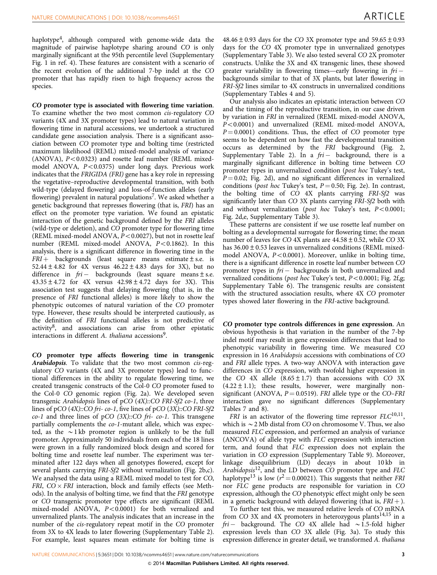haplotype<sup>[4](#page-8-0)</sup>, although compared with genome-wide data the magnitude of pairwise haplotype sharing around CO is only marginally significant at the 95th percentile level (Supplementary Fig. 1 in [ref. 4](#page-8-0)). These features are consistent with a scenario of the recent evolution of the additional 7-bp indel at the CO promoter that has rapidly risen to high frequency across the species.

CO promoter type is associated with flowering time variation. To examine whether the two most common cis-regulatory CO variants (4X and 3X promoter types) lead to natural variation in flowering time in natural accessions, we undertook a structured candidate gene association analysis. There is a significant association between CO promoter type and bolting time (restricted maximum likelihood (REML) mixed-model analysis of variance (ANOVA),  $P < 0.0323$ ) and rosette leaf number (REML mixedmodel ANOVA,  $P < 0.0375$ ) under long days. Previous work indicates that the FRIGIDA (FRI) gene has a key role in repressing the vegetative–reproductive developmental transition, with both wild-type (delayed flowering) and loss-of-function alleles (early flowering) prevalent in natural populations<sup>[7](#page-8-0)</sup>. We asked whether a genetic background that represses flowering (that is, FRI) has an effect on the promoter type variation. We found an epistatic interaction of the genetic background defined by the FRI alleles (wild-type or deletion), and CO promoter type for flowering time (REML mixed-model ANOVA,  $P < 0.0027$ ), but not in rosette leaf number (REML mixed-model ANOVA,  $P < 0.1862$ ). In this analysis, there is a significant difference in flowering time in the  $FRI +$  backgrounds (least square means estimate  $\pm$  s.e. is 52.44  $\pm$  4.82 for 4X versus 46.22  $\pm$  4.83 days for 3X), but no difference in  $fri -$  backgrounds (least square means  $\pm$  s.e.  $43.35 \pm 4.72$  for  $4X$  versus  $42.98 \pm 4.72$  days for 3X). This association test suggests that delaying flowering (that is, in the presence of FRI functional alleles) is more likely to show the phenotypic outcomes of natural variation of the CO promoter type. However, these results should be interpreted cautiously, as the definition of FRI functional alleles is not predictive of activity[8,](#page-8-0) and associations can arise from other epistatic interactions in different A. thaliana accessions<sup>9</sup>.

CO promoter type affects flowering time in transgenic Arabidopsis. To validate that the two most common *cis-reg*ulatory CO variants (4X and 3X promoter types) lead to functional differences in the ability to regulate flowering time, we created transgenic constructs of the Col-0 CO promoter fused to the Col-0 CO genomic region ([Fig. 2a\)](#page-5-0). We developed seven transgenic Arabidopsis lines of pCO (4X)::CO FRI-Sf2 co-1, three lines of pCO (4X)::CO fri- co-1, five lines of pCO (3X)::CO FRI-Sf2  $co-1$  and three lines of pCO (3X)::CO fri- co-1. This transgene partially complements the co-1-mutant allele, which was expected, as the  $\sim$ 1 kb promoter region is unlikely to be the full promoter. Approximately 50 individuals from each of the 18 lines were grown in a fully randomized block design and scored for bolting time and rosette leaf number. The experiment was terminated after 122 days when all genotypes flowered, except for several plants carrying FRI-Sf2 without vernalization ([Fig. 2b,c](#page-5-0)). We analysed the data using a REML mixed model to test for CO, FRI,  $CO \times FRI$  interaction, block and family effects (see Methods). In the analysis of bolting time, we find that the FRI genotype or CO transgenic promoter type effects are significant (REML mixed-model ANOVA,  $P < 0.0001$ ) for both vernalized and unvernalized plants. The analysis indicates that an increase in the number of the *cis*-regulatory repeat motif in the CO promoter from 3X to 4X leads to later flowering (Supplementary Table 2). For example, least squares mean estimate for bolting time is

 $48.46 \pm 0.93$  days for the CO 3X promoter type and  $59.65 \pm 0.93$ days for the CO 4X promoter type in unvernalized genotypes (Supplementary Table 3). We also tested several CO 2X promoter constructs. Unlike the 3X and 4X transgenic lines, these showed greater variability in flowering times—early flowering in  $f\dot{n}$  backgrounds similar to that of 3X plants, but later flowering in FRI-Sf2 lines similar to 4X constructs in unvernalized conditions (Supplementary Tables 4 and 5).

Our analysis also indicates an epistatic interaction between CO and the timing of the reproductive transition, in our case driven by variation in FRI in vernalized (REML mixed-model ANOVA,  $P<0.0001$ ) and unvernalized (REML mixed-model ANOVA,  $P = 0.0001$ ) conditions. Thus, the effect of CO promoter type seems to be dependent on how fast the developmental transition occurs as determined by the FRI background ([Fig. 2,](#page-5-0) Supplementary Table 2). In a  $fri-$  background, there is a marginally significant difference in bolting time between CO promoter types in unvernalized condition (post hoc Tukey's test,  $P = 0.02$ ; [Fig. 2d](#page-5-0)), and no significant differences in vernalized conditions (*post hoc* Tukey's test,  $P = 0.50$ ; [Fig. 2e\)](#page-5-0). In contrast, the bolting time of CO 4X plants carrying FRI-Sf2 was significantly later than CO 3X plants carrying FRI-Sf2 both with and without vernalization (post hoc Tukey's test,  $P < 0.0001$ ; [Fig. 2d,e,](#page-5-0) Supplementary Table 3).

These patterns are consistent if we use rosette leaf number on bolting as a developmental surrogate for flowering time; the mean number of leaves for  $CO$  4X plants are  $44.58 \pm 0.52$ , while  $CO$  3X has  $36.00 \pm 0.53$  leaves in unvernalized conditions (REML mixedmodel ANOVA,  $P < 0.0001$ ). Moreover, unlike in bolting time, there is a significant difference in rosette leaf number between CO promoter types in  $fri-$  backgrounds in both unvernalized and vernalized conditions (post hoc Tukey's test,  $P < 0.0001$ ; [Fig. 2f,g;](#page-5-0) Supplementary Table 6). The transgenic results are consistent with the structured association results, where 4X CO promoter types showed later flowering in the FRI-active background.

CO promoter type controls differences in gene expression. An obvious hypothesis is that variation in the number of the 7-bp indel motif may result in gene expression differences that lead to phenotypic variability in flowering time. We measured CO expression in 16 Arabidopsis accessions with combinations of CO and FRI allele types. A two-way ANOVA with interaction gave differences in CO expression, with twofold higher expression in the CO 4X allele  $(8.65 \pm 1.7)$  than accessions with CO 3X  $(4.22 \pm 1.1)$ ; these results, however, were marginally nonsignificant (ANOVA,  $P = 0.0519$ ). FRI allele type or the CO–FRI interaction gave no significant differences (Supplementary Tables 7 and 8).

FRI is an activator of the flowering time repressor  $FLC^{10,11}$ , which is  $\sim$  2 Mb distal from CO on chromosome V. Thus, we also measured FLC expression, and performed an analysis of variance (ANCOVA) of allele type with FLC expression with interaction term, and found that FLC expression does not explain the variation in CO expression (Supplementary Table 9). Moreover, linkage disequilibrium (LD) decays in about 10 kb in Arabidopsis<sup>12</sup>, and the LD between CO promoter type and FLC haplotype<sup>[13](#page-8-0)</sup> is low ( $r^2$  = 0.00021). This suggests that neither *FRI* nor FLC gene products are responsible for variation in CO expression, although the CO phenotypic effect might only be seen in a genetic background with delayed flowering (that is,  $\mathit{FRI} +$  ).

To further test this, we measured relative levels of CO mRNA from CO 3X and 4X promoters in heterozygous plants $14,15$  in a  $fri-$  background. The CO 4X allele had  $\sim$ 1.5-fold higher expression levels than CO 3X allele [\(Fig. 3a\)](#page-6-0). To study this expression difference in greater detail, we transformed A. thaliana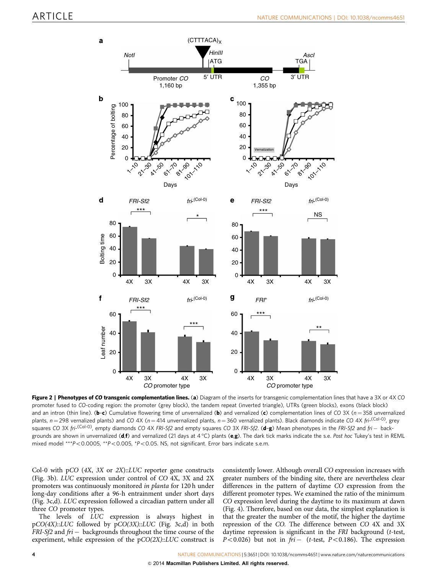<span id="page-5-0"></span>

Figure 2 | Phenotypes of CO transgenic complementation lines. (a) Diagram of the inserts for transgenic complementation lines that have a 3X or 4X CO promoter fused to CO-coding region: the promoter (grey block), the tandem repeat (inverted triangle), UTRs (green blocks), exons (black block) and an intron (thin line). (b-c) Cumulative flowering time of unvernalized (b) and vernalized (c) complementation lines of CO 3X (n = 358 unvernalized plants,  $n = 298$  vernalized plants) and CO 4X ( $n = 414$  unvernalized plants,  $n = 360$  vernalized plants). Black diamonds indicate CO 4X fri-<sup>(Col-0)</sup>, grey squares CO 3X fri-<sup>(Col-O)</sup>, empty diamonds CO 4X FRI-Sf2 and empty squares CO 3X FRI-Sf2. (**d-g**) Mean phenotypes in the FRI-Sf2 and fri — backgrounds are shown in unvernalized (**d,f**) and vernalized (21 days at 4 °C) plants (**e,g**). The dark tick marks indicate the s.e. *Post hoc* Tukey's test in REML mixed model \*\*\*P<0.0005, \*\*P<0.005, \*P<0.05. NS, not significant. Error bars indicate s.e.m.

Col-0 with pCO  $(4X, 3X \text{ or } 2X)$ ::LUC reporter gene constructs ([Fig. 3b\)](#page-6-0). LUC expression under control of CO 4X, 3X and 2X promoters was continuously monitored in planta for 120 h under long-day conditions after a 96-h entrainment under short days ([Fig. 3c,d\)](#page-6-0). LUC expression followed a circadian pattern under all three CO promoter types.

The levels of LUC expression is always highest in  $pCO(4X)::LUC$  followed by  $pCO(3X)::LUC$  ([Fig. 3c,d\)](#page-6-0) in both FRI-Sf2 and fri – backgrounds throughout the time course of the experiment, while expression of the  $pCO(2X):LUC$  construct is

consistently lower. Although overall CO expression increases with greater numbers of the binding site, there are nevertheless clear differences in the pattern of daytime CO expression from the different promoter types. We examined the ratio of the minimum CO expression level during the daytime to its maximum at dawn ([Fig. 4\)](#page-6-0). Therefore, based on our data, the simplest explanation is that the greater the number of the motif, the higher the daytime repression of the CO. The difference between CO 4X and 3X daytime repression is significant in the FRI background (t-test,  $P < 0.026$ ) but not in  $fri -$  (*t*-test,  $P < 0.186$ ). The expression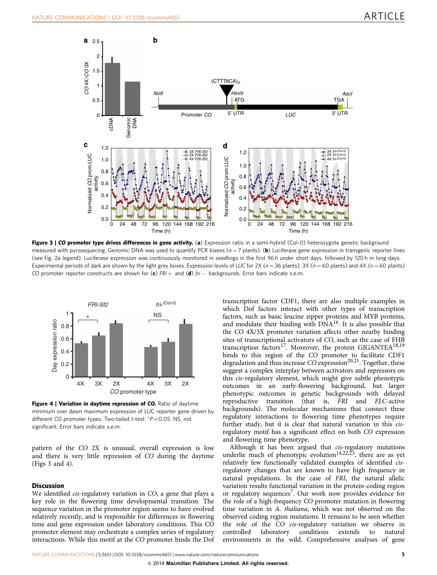<span id="page-6-0"></span>

Figure 3 | CO promoter type drives differences in gene activity. (a) Expression ratio in a semi-hybrid (Col-O) heterozygote genetic background measured with pyrosequecing. Genomic DNA was used to quantify PCR biases  $(n=7 \text{ plants})$ . (b) Luciferase gene expression in transgenic reporter lines (see [Fig. 2a](#page-5-0) legend). Luciferase expression was continuously monitored in seedlings in the first 96 h under short days, followed by 120 h in long days. Experimental periods of dark are shown by the light grey boxes. Expression levels of LUC for 2X ( $n = 36$  plants), 3X ( $n = 60$  plants) and 4X ( $n = 60$  plants) CO promoter reporter constructs are shown for  $(c)$  FRI  $+$  and  $(d)$  fri  $-$  backgrounds. Error bars indicate s.e.m.



Figure 4 | Variation in daytime repression of CO. Ratio of daytime minimum over dawn maximum expression of LUC reporter gene driven by different CO promoter types. Two-tailed t-test:  $*P<0.05$ . NS, not significant. Error bars indicate s.e.m.

pattern of the CO 2X is unusual, overall expression is low and there is very little repression of CO during the daytime (Figs 3 and 4).

#### **Discussion**

We identified cis-regulatory variation in CO, a gene that plays a key role in the flowering time developmental transition. The sequence variation in the promoter region seems to have evolved relatively recently, and is responsible for differences in flowering time and gene expression under laboratory conditions. This CO promoter element may orchestrate a complex series of regulatory interactions. While this motif at the CO promoter binds the Dof

transcription factor CDF1, there are also multiple examples in which Dof factors interact with other types of transcription factors, such as basic leucine zipper proteins and MYB proteins, and modulate their binding with DNA<sup>[16](#page-8-0)</sup>. It is also possible that the CO 4X/3X promoter variation affects other nearby binding sites of transcriptional activators of CO, such as the case of FHB transcription factors<sup>17</sup>. Moreover, the protein GIGANTEA<sup>18,19</sup> binds to this region of the CO promoter to facilitate CDF1 degradation and thus increase  $CO$  expression<sup>20,21</sup>. Together, these suggest a complex interplay between activators and repressors on this cis-regulatory element, which might give subtle phenotypic outcomes in an early-flowering background, but larger phenotypic outcomes in genetic backgrounds with delayed reproductive transition (that is, FRI and FLC-active backgrounds). The molecular mechanisms that connect these regulatory interactions to flowering time phenotypes require further study, but it is clear that natural variation in this cisregulatory motif has a significant effect on both CO expression and flowering time phenotype.

Although it has been argued that cis-regulatory mutations underlie much of phenotypic evolution<sup>[14,22,23](#page-8-0)</sup>, there are as yet relatively few functionally validated examples of identified cisregulatory changes that are known to have high frequency in natural populations. In the case of FRI, the natural allelic variation results functional variation in the protein-coding region or regulatory sequences<sup>[7](#page-8-0)</sup>. Our work now provides evidence for the role of a high-frequency CO promoter mutation in flowering time variation in A. thaliana, which was not observed on the observed coding region mutations. It remains to be seen whether the role of the CO cis-regulatory variation we observe in controlled laboratory conditions extends to natural environments in the wild. Comprehensive analyses of gene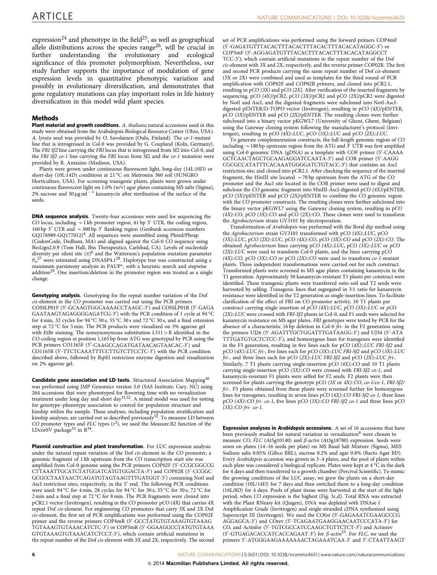expression<sup>[24](#page-8-0)</sup> and phenotype in the field<sup>25</sup>, as well as geographical allele distributions across the species range<sup>[26](#page-8-0)</sup>, will be crucial in further understanding the evolutionary and ecological significance of this promoter polymorphism. Nevertheless, our study further supports the importance of modulation of gene expression levels in quantitative phenotypic variation and possibly in evolutionary diversification, and demonstrates that gene regulatory mutations can play important roles in life history diversification in this model wild plant species.

#### Methods

Plant material and growth conditions. A. thaliana natural accessions used in this study were obtained from the Arabidopsis Biological Resource Center (Ohio, USA). A. lyrata seed was provided by O. Savolainen (Oulu, Finland). The co-1-mutant line that is introgressed in Col-0 was provided by G. Coupland (Koln, Germany). The FRI Sf2 line carrying the FRI locus that is introgressed from Sf2 into Col-0, and the FRI Sf2 co-1 line carrying the FRI locus from Sf2 and the co-1 mutation were provided by R. Amasino (Madison, USA).

Plants were grown under continuous fluorescent light, long-day (14L:10D) or short-day (10L:14D) conditions at 21 °C on Metromix 360 soil (SUNGRO Horticulture, USA). For screening transgenic plants, plants were grown under continuous fluorescent light on 1.0% (w/v) agar plates containing MS salts (Sigma), 2% sucrose and 50  $\mu$ g ml<sup>-1</sup> kanamycin after sterilization of the surface of the seeds.

DNA sequence analysis. Twenty-four accessions were used for sequencing the CO locus, including  $\sim$  1 kb promoter region, 61 bp 5<sup>'</sup> UTR, the coding region, 160 bp 3<sup>'</sup> UTR and  $\sim$  300 bp 3<sup>'</sup> flanking region (Genbank accession numbers GQ176989-GQ177012)<sup>[4](#page-8-0)</sup>. All sequences were assembled using Phred/Phrap (CodonCode, Dedham, MA) and aligned against the Col-0 CO sequence using BioLign2.0.9 (Tom Hall, Ibis Therapeutics, Carlsbad, CA). Levels of nucleotide diversity per silent site  $(\pi)^6$  $(\pi)^6$  and the Watterson's population mutation parameter  $\theta_w^{27}$  $\theta_w^{27}$  $\theta_w^{27}$  were estimated using DNASP4.1<sup>28</sup>. Haplotype tree was constructed using a maximum parsimony analysis in PAUP\*, with a heuristic search and stepwise addition<sup>[29](#page-9-0)</sup>. One insertion/deletion in the promoter region was treated as a single change.

Genotyping analysis. Genotyping for the repeat number variation of the Dof cis-element in the CO promoter was carried out using the PCR primers COSSLP01F (5'-GCAAGTGGCAAAACCTAAGC-3') and COSSLP01R (5'-GAGA GAATAAGTAGAGGGGAGATCG-3') with the PCR condition of 1 cycle at 94 °C for 4 min, 32 cycles for 94 °C 30 s, 55 °C 30 s and 72 °C 30 s, and a final extension step at 72 °C for 5 min. The PCR products were visualized on 3% agarose gel with EtBr staining. The nonsynonymous substitution  $L311 > R$  identified in the CO-coding region at position 1,165 bp from ATG was genotyped by PCR using the PCR primers CO1165F (5'-CAAGCCAGATGATAACAGTAACAC-3') and CO1165R (5'-TTCTCAAATTTCCTTGTCTTCCTC-3') with the PCR condition described above, followed by BspEI restriction enzyme digestion and visualization on 2% agarose gel.

Candidate gene association and LD tests. Structured Association Mapping<sup>[30](#page-9-0)</sup> was performed using JMP Genomics version 5.0 (SAS Institute, Cary, NC) using 264 accessions that were phenotyped for flowering time with no vernalization treatment under long day and short day<sup>[31,32](#page-9-0)</sup>. A mixed model was used for testing for genotype–phenotype association to control for population structure and kinship within the sample. These analyses, including population stratification and<br>kinship analyses, are carried out as described previously<sup>[32](#page-9-0)</sup>. To measure LD between CO promoter types and FLC types  $(r^2)$ , we used the Measure.R2 function of the LDcorSV package<sup>[33](#page-9-0)</sup> in  $R^{34}$ .

Plasmid construction and plant transformation. For LUC expression analysis under the natural repeat variation of the Dof cis-element in the CO promoter, a genomic fragment of 1 kb upstream from the CO transcription start site was amplified from Col-0 genome using the PCR primers COP02F (5'-CCGCGGCCG CTTAAATTGCATCTATGGATCATGTGGACTA-3') and COP02R (5'-CCGGC GCGCCTAATAACTCAGATGTAGTAAGTTTGATGGT-3') containing NotI and AscI restriction sites, respectively, in the  $5'$  end. The following PCR conditions were used: 94 °C for 4 min, 28 cycles for 94 °C for 30 s, 55 °C for 30 s, 72 °C for 2 min and a final step at 72  $^{\circ}\textrm{C}$  for 8 min. The PCR fragments were cloned into pCR2.1 vector (Invitrogen), resulting in the CO promoter pCO (4X) that carries 4X repeat Dof cis-element. For engineering CO promoters that carry 3X and 2X Dof cis-element, the first set of PCR amplifications was performed using the COP02F primer and the reverse primers COP4mR (5'-GCCTATGTGTAAAGTGTAAAG TGTAAAGTGTAAACATCTC-3') or COP3mR (5'-GGAAGGCCTATGTGTAAA GTGTAAAGTGTAAACATCTCCT-3'), which contain artificial mutations in the repeat number of the Dof cis-element with 3X and 2X, respectively. The second

set of PCR amplifications was performed using the forward primers COP4mF (5'-GAGATGTTTACACTTTACACTTTACACTTTACACATAGGC-3') or COP3mF (5'-AGGAGATGTTTACACTTTACACTTTACACATAGGCCT TCC-3'), which contain artificial mutations in the repeat number of the Dof cis-element with 3X and 2X, respectively, and the reverse primer COP02R. The first and second PCR products carrying the same repeat number of Dof cis-element (3X or 2X) were combined and used as templates for the third round of PCR amplification with COP02F and COP02R primers, and cloned into pCR2.1, resulting in pCO (3X) and pCO (2X). After verification of the inserted fragments by sequencing, pCO (4X)/pCR2, pCO (3X)/pCR2 and pCO (2X)/pCR2 were digested by NotI and AscI, and the digested fragments were subcloned into NotI-AscIdigested pENTER/D-TOPO vector (Invitrogen), resulting in pCO (4X)/pENTER, pCO (3X)/pENTER and pCO (2X)/pENTER. The resulting clones were further subcloned into a binary vector pKGWL7 (University of Ghent, Ghent, Belgium) using the Gateway cloning system following the manufacturer's protocol (Invitrogen), resulting in pCO (4X)::LUC, pCO (3X)::LUC and pCO (2X)::LUC.

To generate complementation constructs, the full-length genomic region of CO including  $\sim$  180 bp upstream region from the ATG and  $3^{\prime}$  UTR was first amplified using Col-0 genomic DNA (gDNA) as a template with COF primer (5'-CAAAA GCTCAACTAGCTGCAAGAGGATCCAATA-3') and COR primer (5'-AAGG CGCGCCATATTTCACAAATGGGGATCTGTACC-3') that contains an Ascl restriction site, and cloned into pCR2.1. After checking the sequence of the inserted fragment, the HinIII site located  $\sim$  70 bp upstream from the ATG of the CO promoter and the AscI site located in the COR primer were used to digest and subclone the CO genomic fragment into HinIII-AscI-digested pCO (4X)/pENTER, pCO (3X)/pENTER and pCO (2X)/pENTER to combine the CO genomic region with the CO promoter constructs. The resulting clones were further subcloned into the binary vector pKGWL7 using the Gateway cloning system, resulting in pCO  $(4X)$ ::CO, pCO  $(3X)$ ::CO and pCO  $(2X)$ ::CO. These clones were used to transform the Agrobacterium strain GV3101 by electroporation.

Transformation of Arabidopsis was performed with the floral dip method using the Agrobacterium strain GV3101 transformed with pCO (4X)::LUC, pCO  $(3X) :: LUC$ , pCO  $(2X) :: LUC$ , pCO  $(4X) :: CO$ , pCO  $(3X) :: CO$  and pCO  $(2X) :: CO$ . The obtained Agrobacterium lines carrying pCO (4X)::LUC, pCO (3X)::LUC or pCO (2X)::LUC were used to transform Col-0 plants, and the lines carrying pCO (4X)::CO, pCO (3X)::CO or pCO (2X)::CO were used to transform co-1-mutant plants. Three independent transformations were carried out for each construct. Transformed plants were screened in MS agar plates containing kanamycin in the T1 generation. Approximately 30 kanamycin-resistant T1 plants per construct were identified. These transgenic plants were transferred onto soil and T2 seeds were harvested by selfing. Transgenic lines that segregated in 3:1 ratio for kanamycin resistance were identified in the T2 generation as single-insertion lines. To facilitate clarification of the effect of FRI on CO promoter activity, 10 T1 plants per construct carrying single insertion of pCO (4X)::LUC, pCO (3X)::LUC or pCO (2X)::LUC were crossed with FRI-Sf2 plants in Col-0, and F1 seeds were selected for kanamycin resistance on MS agar plates. FRI genotypes were tested by PCR for the absence of a characteristic 16 bp deletion in Col-0  $\overrightarrow{f}$ ri- in the F2 generation using the primers UJ26 (5'-AGATTTGCTGGATTTGATAAGG-3') and UJ34 (5'-ATA TTTGATGTGCTCTCC-3'), and homozygous lines for transgenes were identified in the F3 generation, resulting in five lines each for pCO (4X)::LUC FRI-Sf2 and pCO (4X): LUC fri-, five lines each for pCO (3X):: LUC FRI-Sf2 and pCO (3X):: LUC fri-, and three lines each for pCO (2X)::LUC FRI-Sf2 and pCO (2X)::LUC fri-. Similarly, 7 T1 plants carrying single-insertion  $pCO$  (4X):: $CO$  and 10 T1 plants carrying single-insertion  $pCO (3X)$ ::CO were crossed with FRI-Sf2 co-1, and kanamycin-resistant F1 plants were selfed for F2 seeds. F2 plants were then screened for plants carrying the genotype pCO (3X or 4X)::CO, co-1/co-1, FRI-Sf2/ fri-. F3 plants obtained from these plants were screened further for homozygous lines for transgenes, resulting in seven lines pCO (4X)::CO FRI-Sf2 co-1, three lines pCO (4X)::CO fri- co-1, five lines pCO (3X)::CO FRI-Sf2 co-1 and three lines pCO (3X)::CO fri- co-1.

Expression analyses in Arabidopsis accessions. A set of 16 accessions that have been previously studied for natural variation in vernalization $8$  were chosen to measure CO, FLC (At5g10140) and  $\beta$ -actin (At3g18780) expression. Seeds were sown on plates (14–16 seeds per plate) on MS Basal Salt Mixture (Sigma), MES Sodium salts 0.05% (Gibco BRL), sucrose 0.2% and agar 0.8% (Bacto Agar BD). Every Arabidopsis accession was grown in 3–4 plates, and the pool of plants within each plate was considered a biological replicate. Plates were kept at  $4^{\circ}$ C in the dark for 4 days and then transferred to a growth chamber (Percival Scientific). To mimic the growing conditions of the LUC assay, we grew the plants on a short-day condition (10L/14D) for 7 days and then switched them to a long-day condition (16L/8D) for 4 days. Pools of plant tissue were harvested at the start of the light period, when CO expression is the highest ([Fig. 3c,d](#page-6-0)). Total RNA was extracted with the Plant RNeasy kit (Qiagen), DNA was depleted with DNAse I Amplification Grade (Invitrogen) and single-stranded cDNA synthesized using Superscript III (Invitrogen). We used the COfor (5'-GAGAAATCGAAGCCCG AGGAGCA-3') and COrev (5'-TCAGAATGAAGGAACAATCCCATA-3') for CO, and Actinfor (5'-TGTCGCCATCCAAGCTGTTCTCT-3') and Actinrev (5'-GTGAGACACCATCACCAGAAT-3') for  $\beta$ -actin<sup>[35](#page-9-0)</sup>. For FLC, we used the primers 5'-ATGGGAAGAAAAAAACTAGAAATCAA-3' and 5'-CTAATTAAGT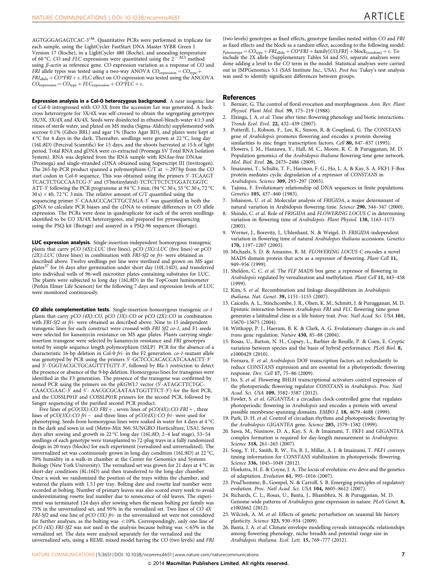<span id="page-8-0"></span>AGTGGGAGAGTCAC-3<sup>/36</sup>. Quantitative PCRs were performed in triplicate for each sample, using the LightCycler FastStart DNA Master SYBR Green I Version 17 (Roche), in a LightCycler 480 (Roche), and annealing temperature of 60 °C. CO and FLC expressions were quantitated using the  $2 - \Delta C$  method using  $\beta$ -actin as reference gene. CO expression variation as a response of CO and FRI allele types was tested using a two-way ANOVA  $CO_{\text{expression}} = CO_{\text{typ}}$  $FRI<sub>allele</sub> + CO*FRI + \varepsilon$ . FLC effect on CO expression was tested using the ANCOVA  $CO_{expression} = CO_{type} + FLC_{expression} + CO^{*}FLC + \varepsilon.$ 

Expression analysis in a Col-0 heterozygous background. A near isogenic line of Col-0 introgressed with CO 3X from the accession Ler was generated. A backcross heterozygote for 3X/4X was self-crossed to obtain the segregating genotypes 3X/3X, 3X/4X and 4X/4X. Seeds were disinfected in ethanol-bleach-water 4:1:3 and rinses of sterile water, and plated on MS media (Sigma-Aldrich) supplemented with sucrose 0.1% (Gibco BRL) and agar 1% (Bacto Agar BD), and plates were kept at  $4\,^{\circ}\mathrm{C}$  for 4 days in the dark. Thereafter, seedlings were grown at 22  $^{\circ}\mathrm{C}$ , long day (16L:8D) (Percival Scientific) for 15 days, and the shoots harvested at 15 h of light period. Total RNA and gDNA were co-extracted (Promega SV Total RNA Isolation System). RNA was depleted from the RNA sample with RNAse-free DNAse (Promega) and single-stranded cDNA obtained using Superscript III (Invitrogen). The 265-bp PCR product spanned a polymorphism C/T at  $+297$  bp from the CO start codon in Col-0 sequence. This was obtained using the primers 5'-TCAAGT TCACTCTGCCAATCG-3' and (5'biotinylated)-TCTCTTCTCTGGATCGGTC ATT-3 $^\prime$  following the PCR programme at 94 °C 3 min, (94 °C 30 s, 55 °C 30 s, 72 °C 30 s)  $\times$  40, 72 °C 3 min. The relative amount of C/T quantified using the sequencing primer 5'-CAAACCCACTTGCTAGA-3' was quantified in both the gDNA to calculate PCR biases and the cDNA to estimate differences in CO allele expression. The PCRs were done in quadruplicate for each of the seven seedlings identified to be CO 3X/4X heterozygotes, and prepared for pyrosequencing using the PSQ-kit (Biotage) and assayed in a PSQ-96 sequencer (Biotage).

LUC expression analysis. Single-insertion-independent homozygous transgenic plants that carry pCO (4X)::LUC (five lines), pCO (3X)::LUC (five lines) or pCO  $(ZX)$ ::LUC (three lines) in combination with FRI-Sf2 or fri- were obtained as described above. Twelve seedlings per line were sterilized and grown on MS agar plates<sup>[37](#page-9-0)</sup> for 16 days after germination under short day (10L:14D), and transferred into individual wells of 96-well microtiter plates containing substrates for LUC. The plants were subjected to long day (16L:8D) in the TopCount luminometer (Perkin Elmer Life Sciences) for the following 7 days and expression levels of LUC were monitored continuously.

CO allele complementation tests. Single-insertion homozygous transgenic co-1 plants that carry pCO (4X)::CO, pCO (3X)::CO or pCO (2X)::CO in combination with FRI-Sf2 or fri- were obtained as described above. Nine to 15 independent transgenic lines for each construct were crossed with FRI Sf2 co-1, and F1 seeds were selected for kanamycin resistance on MS agar plates. Plants carrying singleinsertion transgene were selected by kanamycin resistance and FRI genotypes tested by simple sequence length polymorphism (SSLP) PCR for the absence of a characteristic 16-bp deletion in Col-0 fri- in the F2 generation. co-1-mutant allele was genotyped by PCR using the primers 5'-GCTCCCACACCATCAAACTT-3' and 5'-TGGTACGCTGCAGTTTTGTT-3', followed by Bfa-1 restriction to detect the presence or absence of the 9-bp deletion. Homozygous lines for transgenes were identified in the F3 generation. The presence of the transgene was confirmed by nested PCR using the primers on the pKGWL7 vector (5'-ATAGCTTCTGC-CAACCGAAC-3' and 5'- AACGCGCAATAATGGTTTCT-3') for the first PCR, and the COSSLP01F and COSSLP01R primers for the second PCR, followed by Sanger sequencing of the purified second PCR product.

Five lines of pCO(3X)::CO FRI + , seven lines of pCO(4X)::CO FRI + , three lines of pCO(3X)::CO fri – and three lines of pCO(4X)::CO fri- were used for phenotyping. Seeds from homozygous lines were soaked in water for 4 days at 4  $^{\circ}\mathrm{C}$ in the dark and sown in soil (Metro-Mix 360, SUNGRO Horticulture, USA). Seven days after sowing and growth in 22 °C long day (16L:8D; 2–4 leaf stage), 53–54 seedlings of each genotype were transplanted to 72-plug trays in a fully randomized design in 20 trays (blocks) for each experiment (vernalized and unvernalized). The unvernalized set was continuously grown in long-day condition (16L:8D) at 22 °C, 70% humidity in a walk-in chamber at the Center for Genomics and Systems Biology (New York University). The vernalized set was grown for 21 days at 4 °C in short-day conditions (8L:16D) and then transferred to the long-day chamber. Once a week we randomized the position of the trays within the chamber, and watered the plants with 1.5 l per tray. Bolting date and rosette leaf number were recorded at bolting. Number of primary leaves was also scored every week to avoid underestimating rosette leaf number due to senescence of old leaves. The experiment was terminated 124 days after sowing when the mean bolting per family was 75% in the unvernalized set, and 95% in the vernalized set. Two lines of CO 4X FRI-Sf2 and one line of pCO (3X) fri- in the unvernalized set were not considered for further analyses, as the bolting was  $<$  10%. Correspondingly, only one line of pCO (4X) FRI-Sf2 was not used in the analysis because bolting was  $<65\%$  in the vernalized set. The data were analysed separately for the vernalized and the unvernalized sets, using a REML mixed model having the CO (two levels) and FRI

(two levels) genotypes as fixed effects, genotype families nested within CO and FRI as fixed effects and the block as a random effect, according to the following model:  $y_{\text{phenotype}} = CO_{\text{type}} + FRI_{\text{allele}} + CO^*FRI + \text{family}[CO, FRI] + \text{block}_{(\text{random})} + \varepsilon$ . To include the 2X allele (Supplementary Tables S4 and S5), separate analyses were done adding a level to the CO term in the model. Statistical analyses were carried out in JMPGenomics 5.1 (SAS Institute Inc., USA). Post hoc Tukey's test analysis was used to identify significant differences between groups.

#### **References**

- 1. Bernier, G. The control of floral evocation and morphogenesis. Ann. Rev. Plant Physiol. Plant Mol. Biol. 39, 175–219 (1988).
- Elzinga, J. A. et al. Time after time: flowering phenology and biotic interactions. Trends Ecol. Evol. 22, 432–439 (2007).
- Putterill, J., Robson, F., Lee, K., Simon, R. & Coupland, G. The CONSTANS gene of Arabidopsis promotes flowering and encodes a protein showing similarities to zinc finger transcription factors. Cell 80, 847-857 (1995).
- 4. Flowers, J. M., Hanzawa, Y., Hall, M. C., Moore, R. C. & Purugganan, M. D. Population genomics of the Arabidopsis thaliana flowering time gene network. Mol. Biol. Evol. 26, 2475–2486 (2009).
- 5. Imaizumi, T., Schultz, T. F., Harmon, F. G., Ho, L. A. & Kay, S. A. FKF1 F-Box protein mediates cyclic degradation of a repressor of CONSTANS in Arabidopsis. Science 309, 293-297 (2005).
- Tajima, F. Evolutionary relationship od DNA sequences in finite populations. Genetics 105, 437–460 (1983).
- Johanson, U. et al. Molecular analysis of FRIGIDA, a major determinant of natural variation in Arabidopsis flowering time. Science 290, 344–347 (2000).
- Shindo, C. et al. Role of FRIGIDA and FLOWERING LOCUS C in determining variation in flowering time of Arabidopsis. Plant Physiol. 138, 1163–1173 (2005).
- 9. Werner, J., Borevitz, J., Uhlenhaut, N. & Weigel, D. FRIGIDA-independent variation in flowering time of natural Arabidopsis thaliana accessions. Genetics 170, 1197–1207 (2005).
- 10. Michaels, S. D. & Amasino, R. M. FLOWERING LOCUS C encodes a novel MADS domain protein that acts as a repressor of flowering. Plant Cell 11, 949–956 (1999).
- 11. Sheldon, C. C. et al. The FLF MADS box gene: a repressor of flowering in Arabidopsis regulated by vernalization and methylation. Plant Cell 11, 445–458 (1999).
- 12. Kim, S. et al. Recombination and linkage disequilibrium in Arabidopsis thaliana. Nat. Genet. 39, 1151–1155 (2007).
- 13. Caicedo, A. L., Stinchcombe, J. R., Olsen, K. M., Schmitt, J. & Purugganan, M. D. Epistatic interaction between Arabidopsis FRI and FLC flowering time genes generates a latitudinal cline in a life history trait. Proc. Natl Acad. Sci. USA 101, 15670–15675 (2004).
- 14. Wittkopp, P. J., Haerum, B. K. & Clark, A. G. Evolutionary changes in cis and trans gene regulation. Nature 430, 85–88 (2004).
- 15. Rosas, U., Barton, N. H., Copsey, L., Barbier de Reuille, P. & Coen, E. Cryptic variation between species and the basis of hybrid performance. PLoS Biol. 8, e1000429 (2010).
- 16. Fornara, F. et al. Arabidopsis DOF transcription factors act redundantly to reduce CONSTANS expression and are essential for a photoperiodic flowering response. Dev. Cell 17, 75–86 (2009).
- 17. Ito, S. et al. Flowering BHLH transcriptional activators control expression of the photoperiodic flowering regulator CONSTANS in Arabidopsis. Proc. Natl Acad. Sci. USA 109, 3582–3587 (2012).
- 18. Fowler, S. et al. GIGANTEA: a circadian clock-controlled gene that regulates photoperiodic flowering in Arabidopsis and encodes a protein with several possible membrane-spanning domains. EMBO J. 18, 4679–4688 (1999).
- 19. Park, D. H. et al. Control of circadian rhythms and photoperiodic flowering by the Arabidopsis GIGANTEA gene. Science 285, 1579-1582 (1999).
- 20. Sawa, M., Nusinow, D. A., Kay, S. A. & Imaizumi, T. FKF1 and GIGANTEA complex formation is required for day-length measurement in Arabidopsis. Science 318, 261–265 (2007).
- 21. Song, Y. H., Smith, R. W., To, B. J., Millar, A. J. & Imaizumi, T. FKF1 conveys timing information for CONSTANS stabilization in photoperiodic flowering. Science 336, 1045-1049 (2012).
- 22. Hoekstra, H. E. & Coyne, J. A. The locus of evolution: evo devo and the genetics of adaptation. Evolution 61, 995–1016 (2007).
- 23. Prud'homme, B., Gompel, N. & Carroll, S. B. Emerging principles of regulatory evolution. Proc. Natl Acad. Sci. USA 104, 8605–8612 (2007).
- 24. Richards, C. L., Rosas, U., Banta, J., Bhambhra, N. & Purugganan, M. D. Genome-wide patterns of Arabidopsis gene expression in nature. PLoS Genet. 8, e1002662 (2012).
- 25. Wilczek, A. M. et al. Effects of genetic perturbation on seasonal life history plasticity. Science 323, 930–934 (2009).
- 26. Banta, J. A. et al. Climate envelope modelling reveals intraspecific relationships among flowering phenology, niche breadth and potential range size in Arabidopsis thaliana. Ecol. Lett. 15, 769–777 (2012).